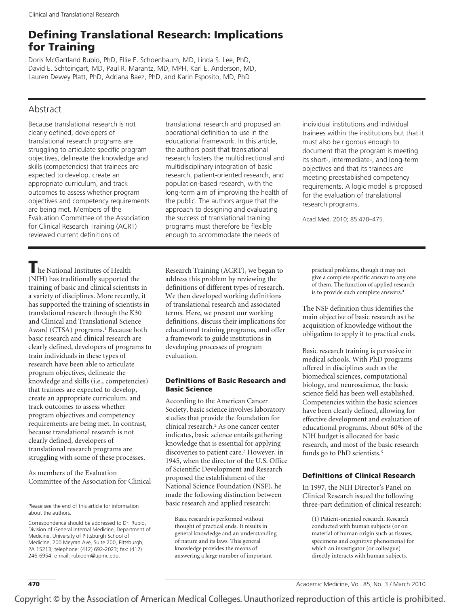# **Defining Translational Research: Implications for Training**

Doris McGartland Rubio, PhD, Ellie E. Schoenbaum, MD, Linda S. Lee, PhD, David E. Schteingart, MD, Paul R. Marantz, MD, MPH, Karl E. Anderson, MD, Lauren Dewey Platt, PhD, Adriana Baez, PhD, and Karin Esposito, MD, PhD

# Abstract

Because translational research is not clearly defined, developers of translational research programs are struggling to articulate specific program objectives, delineate the knowledge and skills (competencies) that trainees are expected to develop, create an appropriate curriculum, and track outcomes to assess whether program objectives and competency requirements are being met. Members of the Evaluation Committee of the Association for Clinical Research Training (ACRT) reviewed current definitions of

**T**he National Institutes of Health (NIH) has traditionally supported the training of basic and clinical scientists in a variety of disciplines. More recently, it has supported the training of scientists in translational research through the K30 and Clinical and Translational Science Award (CTSA) programs.<sup>1</sup> Because both basic research and clinical research are clearly defined, developers of programs to train individuals in these types of research have been able to articulate program objectives, delineate the knowledge and skills (i.e., competencies) that trainees are expected to develop, create an appropriate curriculum, and track outcomes to assess whether program objectives and competency requirements are being met. In contrast, because translational research is not clearly defined, developers of translational research programs are struggling with some of these processes.

As members of the Evaluation Committee of the Association for Clinical

Please see the end of this article for information about the authors.

translational research and proposed an operational definition to use in the educational framework. In this article, the authors posit that translational research fosters the multidirectional and multidisciplinary integration of basic research, patient-oriented research, and population-based research, with the long-term aim of improving the health of the public. The authors argue that the approach to designing and evaluating the success of translational training programs must therefore be flexible enough to accommodate the needs of

Research Training (ACRT), we began to address this problem by reviewing the definitions of different types of research. We then developed working definitions of translational research and associated terms. Here, we present our working definitions, discuss their implications for educational training programs, and offer a framework to guide institutions in developing processes of program evaluation.

## **Definitions of Basic Research and Basic Science**

According to the American Cancer Society, basic science involves laboratory studies that provide the foundation for clinical research.2 As one cancer center indicates, basic science entails gathering knowledge that is essential for applying discoveries to patient care.3 However, in 1945, when the director of the U.S. Office of Scientific Development and Research proposed the establishment of the National Science Foundation (NSF), he made the following distinction between basic research and applied research:

Basic research is performed without thought of practical ends. It results in general knowledge and an understanding of nature and its laws. This general knowledge provides the means of answering a large number of important

individual institutions and individual trainees within the institutions but that it must also be rigorous enough to document that the program is meeting its short-, intermediate-, and long-term objectives and that its trainees are meeting preestablished competency requirements. A logic model is proposed for the evaluation of translational research programs.

Acad Med. 2010; 85:470–475.

practical problems, though it may not give a complete specific answer to any one of them. The function of applied research is to provide such complete answers.4

The NSF definition thus identifies the main objective of basic research as the acquisition of knowledge without the obligation to apply it to practical ends.

Basic research training is pervasive in medical schools. With PhD programs offered in disciplines such as the biomedical sciences, computational biology, and neuroscience, the basic science field has been well established. Competencies within the basic sciences have been clearly defined, allowing for effective development and evaluation of educational programs. About 60% of the NIH budget is allocated for basic research, and most of the basic research funds go to PhD scientists.<sup>5</sup>

# **Definitions of Clinical Research**

In 1997, the NIH Director's Panel on Clinical Research issued the following three-part definition of clinical research:

(1) Patient-oriented research. Research conducted with human subjects (or on material of human origin such as tissues, specimens and cognitive phenomena) for which an investigator (or colleague) directly interacts with human subjects.

Correspondence should be addressed to Dr. Rubio, Division of General Internal Medicine, Department of Medicine, University of Pittsburgh School of Medicine, 200 Meyran Ave, Suite 200, Pittsburgh, PA 15213; telephone: (412) 692-2023; fax: (412) 246-6954; e-mail: rubiodm@upmc.edu.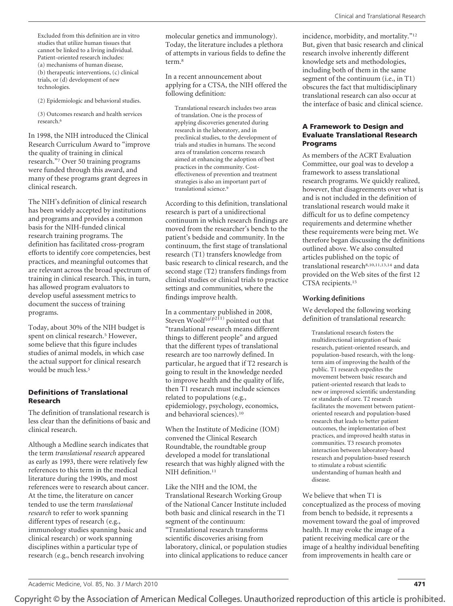Excluded from this definition are in vitro studies that utilize human tissues that cannot be linked to a living individual. Patient-oriented research includes: (a) mechanisms of human disease, (b) therapeutic interventions, (c) clinical trials, or (d) development of new technologies.

(2) Epidemiologic and behavioral studies.

(3) Outcomes research and health services research. $6$ 

In 1998, the NIH introduced the Clinical Research Curriculum Award to "improve the quality of training in clinical research."7 Over 50 training programs were funded through this award, and many of these programs grant degrees in clinical research.

The NIH's definition of clinical research has been widely accepted by institutions and programs and provides a common basis for the NIH-funded clinical research training programs. The definition has facilitated cross-program efforts to identify core competencies, best practices, and meaningful outcomes that are relevant across the broad spectrum of training in clinical research. This, in turn, has allowed program evaluators to develop useful assessment metrics to document the success of training programs.

Today, about 30% of the NIH budget is spent on clinical research.<sup>5</sup> However, some believe that this figure includes studies of animal models, in which case the actual support for clinical research would be much less.5

## **Definitions of Translational Research**

The definition of translational research is less clear than the definitions of basic and clinical research.

Although a Medline search indicates that the term *translational research* appeared as early as 1993, there were relatively few references to this term in the medical literature during the 1990s, and most references were to research about cancer. At the time, the literature on cancer tended to use the term *translational research* to refer to work spanning different types of research (e.g., immunology studies spanning basic and clinical research) or work spanning disciplines within a particular type of research (e.g., bench research involving

molecular genetics and immunology). Today, the literature includes a plethora of attempts in various fields to define the term<sup>8</sup>

In a recent announcement about applying for a CTSA, the NIH offered the following definition:

Translational research includes two areas of translation. One is the process of applying discoveries generated during research in the laboratory, and in preclinical studies, to the development of trials and studies in humans. The second area of translation concerns research aimed at enhancing the adoption of best practices in the community. Costeffectiveness of prevention and treatment strategies is also an important part of translational science.9

According to this definition, translational research is part of a unidirectional continuum in which research findings are moved from the researcher's bench to the patient's bedside and community. In the continuum, the first stage of translational research (T1) transfers knowledge from basic research to clinical research, and the second stage (T2) transfers findings from clinical studies or clinical trials to practice settings and communities, where the findings improve health.

In a commentary published in 2008, Steven Woolf<sup>10(p211)</sup> pointed out that "translational research means different things to different people" and argued that the different types of translational research are too narrowly defined. In particular, he argued that if T2 research is going to result in the knowledge needed to improve health and the quality of life, then T1 research must include sciences related to populations (e.g., epidemiology, psychology, economics, and behavioral sciences).10

When the Institute of Medicine (IOM) convened the Clinical Research Roundtable, the roundtable group developed a model for translational research that was highly aligned with the NIH definition.<sup>11</sup>

Like the NIH and the IOM, the Translational Research Working Group of the National Cancer Institute included both basic and clinical research in the T1 segment of the continuum: "Translational research transforms scientific discoveries arising from laboratory, clinical, or population studies into clinical applications to reduce cancer incidence, morbidity, and mortality."12 But, given that basic research and clinical research involve inherently different knowledge sets and methodologies, including both of them in the same segment of the continuum (i.e., in T1) obscures the fact that multidisciplinary translational research can also occur at the interface of basic and clinical science.

#### **A Framework to Design and Evaluate Translational Research Programs**

As members of the ACRT Evaluation Committee, our goal was to develop a framework to assess translational research programs. We quickly realized, however, that disagreements over what is and is not included in the definition of translational research would make it difficult for us to define competency requirements and determine whether these requirements were being met. We therefore began discussing the definitions outlined above. We also consulted articles published on the topic of translational research8,10,11,13,14 and data provided on the Web sites of the first 12 CTSA recipients.15

### **Working definitions**

We developed the following working definition of translational research:

Translational research fosters the multidirectional integration of basic research, patient-oriented research, and population-based research, with the longterm aim of improving the health of the public. T1 research expedites the movement between basic research and patient-oriented research that leads to new or improved scientific understanding or standards of care. T2 research facilitates the movement between patientoriented research and population-based research that leads to better patient outcomes, the implementation of best practices, and improved health status in communities. T3 research promotes interaction between laboratory-based research and population-based research to stimulate a robust scientific understanding of human health and disease.

We believe that when T1 is conceptualized as the process of moving from bench to bedside, it represents a movement toward the goal of improved health. It may evoke the image of a patient receiving medical care or the image of a healthy individual benefiting from improvements in health care or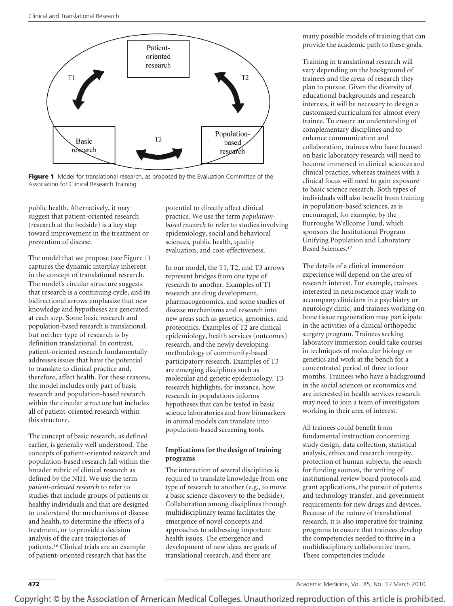

Figure 1 Model for translational research, as proposed by the Evaluation Committee of the Association for Clinical Research Training.

public health. Alternatively, it may suggest that patient-oriented research (research at the bedside) is a key step toward improvement in the treatment or prevention of disease.

The model that we propose (see Figure 1) captures the dynamic interplay inherent in the concept of translational research. The model's circular structure suggests that research is a continuing cycle, and its bidirectional arrows emphasize that new knowledge and hypotheses are generated at each step. Some basic research and population-based research is translational, but neither type of research is by definition translational. In contrast, patient-oriented research fundamentally addresses issues that have the potential to translate to clinical practice and, therefore, affect health. For these reasons, the model includes only part of basic research and population-based research within the circular structure but includes all of patient-oriented research within this structure.

The concept of basic research, as defined earlier, is generally well understood. The concepts of patient-oriented research and population-based research fall within the broader rubric of clinical research as defined by the NIH. We use the term *patient-oriented research* to refer to studies that include groups of patients or healthy individuals and that are designed to understand the mechanisms of disease and health, to determine the effects of a treatment, or to provide a decision analysis of the care trajectories of patients.16 Clinical trials are an example of patient-oriented research that has the

potential to directly affect clinical practice. We use the term *populationbased research* to refer to studies involving epidemiology, social and behavioral sciences, public health, quality evaluation, and cost-effectiveness.

In our model, the T1, T2, and T3 arrows represent bridges from one type of research to another. Examples of T1 research are drug development, pharmacogenomics, and some studies of disease mechanisms and research into new areas such as genetics, genomics, and proteomics. Examples of T2 are clinical epidemiology, health services (outcomes) research, and the newly developing methodology of community-based participatory research. Examples of T3 are emerging disciplines such as molecular and genetic epidemiology. T3 research highlights, for instance, how research in populations informs hypotheses that can be tested in basic science laboratories and how biomarkers in animal models can translate into population-based screening tools.

### **Implications for the design of training programs**

The interaction of several disciplines is required to translate knowledge from one type of research to another (e.g., to move a basic science discovery to the bedside). Collaboration among disciplines through multidisciplinary teams facilitates the emergence of novel concepts and approaches to addressing important health issues. The emergence and development of new ideas are goals of translational research, and there are

many possible models of training that can provide the academic path to these goals.

Training in translational research will vary depending on the background of trainees and the areas of research they plan to pursue. Given the diversity of educational backgrounds and research interests, it will be necessary to design a customized curriculum for almost every trainee. To ensure an understanding of complementary disciplines and to enhance communication and collaboration, trainees who have focused on basic laboratory research will need to become immersed in clinical sciences and clinical practice, whereas trainees with a clinical focus will need to gain exposure to basic science research. Both types of individuals will also benefit from training in population-based sciences, as is encouraged, for example, by the Burroughs Wellcome Fund, which sponsors the Institutional Program Unifying Population and Laboratory Based Sciences.17

The details of a clinical immersion experience will depend on the area of research interest. For example, trainees interested in neuroscience may wish to accompany clinicians in a psychiatry or neurology clinic, and trainees working on bone tissue regeneration may participate in the activities of a clinical orthopedic surgery program. Trainees seeking laboratory immersion could take courses in techniques of molecular biology or genetics and work at the bench for a concentrated period of three to four months. Trainees who have a background in the social sciences or economics and are interested in health services research may need to join a team of investigators working in their area of interest.

All trainees could benefit from fundamental instruction concerning study design, data collection, statistical analysis, ethics and research integrity, protection of human subjects, the search for funding sources, the writing of institutional review board protocols and grant applications, the pursuit of patents and technology transfer, and government requirements for new drugs and devices. Because of the nature of translational research, it is also imperative for training programs to ensure that trainees develop the competencies needed to thrive in a multidisciplinary collaborative team. These competencies include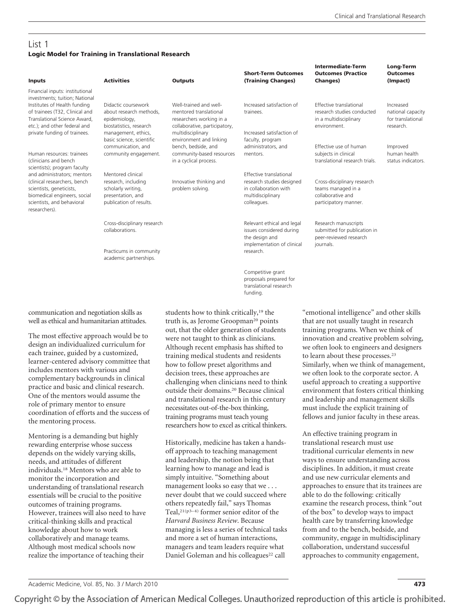**Intermediate-Term**

## List 1 **Logic Model for Training in Translational Research**

| <b>Inputs</b>                                                                                                                                                          | <b>Activities</b>                                                                                              | <b>Outputs</b>                                                                                       | <b>Short-Term Outcomes</b><br>(Training Changes)                                                                  | Intermediate-Term<br><b>Outcomes (Practice</b><br><b>Changes</b> )                              | <b>Long-Term</b><br><b>Outcomes</b><br>(Impact)     |
|------------------------------------------------------------------------------------------------------------------------------------------------------------------------|----------------------------------------------------------------------------------------------------------------|------------------------------------------------------------------------------------------------------|-------------------------------------------------------------------------------------------------------------------|-------------------------------------------------------------------------------------------------|-----------------------------------------------------|
| Financial inputs: institutional<br>investments; tuition; National<br>Institutes of Health funding<br>of trainees (T32, Clinical and<br>Translational Science Award,    | Didactic coursework<br>about research methods.<br>epidemiology,                                                | Well-trained and well-<br>mentored translational<br>researchers working in a                         | Increased satisfaction of<br>trainees.                                                                            | Effective translational<br>research studies conducted<br>in a multidisciplinary                 | Increased<br>national capacity<br>for translational |
| etc.); and other federal and<br>private funding of trainees.                                                                                                           | biostatistics, research<br>management, ethics,<br>basic science, scientific<br>communication, and              | collaborative, participatory,<br>multidisciplinary<br>environment and linking<br>bench, bedside, and | Increased satisfaction of<br>faculty, program<br>administrators, and                                              | environment.<br>Effective use of human                                                          | research.<br>Improved                               |
| Human resources: trainees<br>(clinicians and bench)<br>scientists); program faculty                                                                                    | community engagement.                                                                                          | community-based resources<br>in a cyclical process.                                                  | mentors.                                                                                                          | subjects in clinical<br>translational research trials.                                          | human health<br>status indicators.                  |
| and administrators; mentors<br>(clinical researchers, bench<br>scientists, geneticists,<br>biomedical engineers, social<br>scientists, and behavioral<br>researchers). | Mentored clinical<br>research, including<br>scholarly writing,<br>presentation, and<br>publication of results. | Innovative thinking and<br>problem solving.                                                          | Effective translational<br>research studies designed<br>in collaboration with<br>multidisciplinary<br>colleagues. | Cross-disciplinary research<br>teams managed in a<br>collaborative and<br>participatory manner. |                                                     |
|                                                                                                                                                                        | Cross-disciplinary research<br>collaborations.                                                                 |                                                                                                      | Relevant ethical and legal<br>issues considered during<br>the design and<br>implementation of clinical            | Research manuscripts<br>submitted for publication in<br>peer-reviewed research<br>journals.     |                                                     |
|                                                                                                                                                                        | Practicums in community<br>academic partnerships.                                                              |                                                                                                      | research.                                                                                                         |                                                                                                 |                                                     |
|                                                                                                                                                                        |                                                                                                                |                                                                                                      | Competitive grant<br>proposals prepared for<br>translational research                                             |                                                                                                 |                                                     |

communication and negotiation skills as well as ethical and humanitarian attitudes.

The most effective approach would be to design an individualized curriculum for each trainee, guided by a customized, learner-centered advisory committee that includes mentors with various and complementary backgrounds in clinical practice and basic and clinical research. One of the mentors would assume the role of primary mentor to ensure coordination of efforts and the success of the mentoring process.

Mentoring is a demanding but highly rewarding enterprise whose success depends on the widely varying skills, needs, and attitudes of different individuals.18 Mentors who are able to monitor the incorporation and understanding of translational research essentials will be crucial to the positive outcomes of training programs. However, trainees will also need to have critical-thinking skills and practical knowledge about how to work collaboratively and manage teams. Although most medical schools now realize the importance of teaching their

students how to think critically,<sup>19</sup> the truth is, as Jerome Groopman<sup>20</sup> points out, that the older generation of students were not taught to think as clinicians. Although recent emphasis has shifted to training medical students and residents how to follow preset algorithms and decision trees, these approaches are challenging when clinicians need to think outside their domains.20 Because clinical and translational research in this century necessitates out-of-the-box thinking, training programs must teach young researchers how to excel as critical thinkers.

funding.

Historically, medicine has taken a handsoff approach to teaching management and leadership, the notion being that learning how to manage and lead is simply intuitive. "Something about management looks so easy that we . . . never doubt that we could succeed where others repeatedly fail," says Thomas Teal,21(p3–4) former senior editor of the *Harvard Business Review*. Because managing is less a series of technical tasks and more a set of human interactions, managers and team leaders require what Daniel Goleman and his colleagues<sup>22</sup> call

"emotional intelligence" and other skills that are not usually taught in research training programs. When we think of innovation and creative problem solving, we often look to engineers and designers to learn about these processes.23 Similarly, when we think of management, we often look to the corporate sector. A useful approach to creating a supportive environment that fosters critical thinking and leadership and management skills must include the explicit training of fellows and junior faculty in these areas.

An effective training program in translational research must use traditional curricular elements in new ways to ensure understanding across disciplines. In addition, it must create and use new curricular elements and approaches to ensure that its trainees are able to do the following: critically examine the research process, think "out of the box" to develop ways to impact health care by transferring knowledge from and to the bench, bedside, and community, engage in multidisciplinary collaboration, understand successful approaches to community engagement,

Copyright © by the Association of American Medical Colleges. Unauthorized reproduction of this article is prohibited.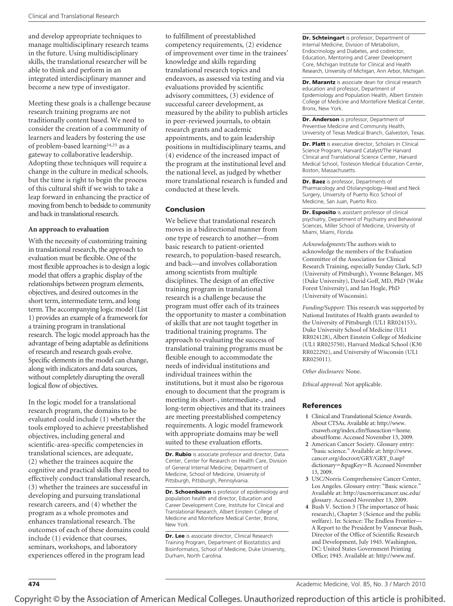and develop appropriate techniques to manage multidisciplinary research teams in the future. Using multidisciplinary skills, the translational researcher will be able to think and perform in an integrated interdisciplinary manner and become a new type of investigator.

Meeting these goals is a challenge because research training programs are not traditionally content based. We need to consider the creation of a community of learners and leaders by fostering the use of problem-based learning24,25 as a gateway to collaborative leadership. Adopting these techniques will require a change in the culture in medical schools, but the time is right to begin the process of this cultural shift if we wish to take a leap forward in enhancing the practice of moving from bench to bedside to community and back in translational research.

### **An approach to evaluation**

With the necessity of customizing training in translational research, the approach to evaluation must be flexible. One of the most flexible approaches is to design a logic model that offers a graphic display of the relationships between program elements, objectives, and desired outcomes in the short term, intermediate term, and long term. The accompanying logic model (List 1) provides an example of a framework for a training program in translational research. The logic model approach has the advantage of being adaptable as definitions of research and research goals evolve. Specific elements in the model can change, along with indicators and data sources, without completely disrupting the overall logical flow of objectives.

In the logic model for a translational research program, the domains to be evaluated could include (1) whether the tools employed to achieve preestablished objectives, including general and scientific-area-specific competencies in translational sciences, are adequate, (2) whether the trainees acquire the cognitive and practical skills they need to effectively conduct translational research, (3) whether the trainees are successful in developing and pursuing translational research careers, and (4) whether the program as a whole promotes and enhances translational research. The outcomes of each of these domains could include (1) evidence that courses, seminars, workshops, and laboratory experiences offered in the program lead

to fulfillment of preestablished competency requirements, (2) evidence of improvement over time in the trainees' knowledge and skills regarding translational research topics and endeavors, as assessed via testing and via evaluations provided by scientific advisory committees, (3) evidence of successful career development, as measured by the ability to publish articles in peer-reviewed journals, to obtain research grants and academic appointments, and to gain leadership positions in multidisciplinary teams, and (4) evidence of the increased impact of the program at the institutional level and the national level, as judged by whether more translational research is funded and conducted at these levels.

#### **Conclusion**

We believe that translational research moves in a bidirectional manner from one type of research to another—from basic research to patient-oriented research, to population-based research, and back—and involves collaboration among scientists from multiple disciplines. The design of an effective training program in translational research is a challenge because the program must offer each of its trainees the opportunity to master a combination of skills that are not taught together in traditional training programs. The approach to evaluating the success of translational training programs must be flexible enough to accommodate the needs of individual institutions and individual trainees within the institutions, but it must also be rigorous enough to document that the program is meeting its short-, intermediate-, and long-term objectives and that its trainees are meeting preestablished competency requirements. A logic model framework with appropriate domains may be well suited to these evaluation efforts.

**Dr. Rubio** is associate professor and director, Data Center, Center for Research on Health Care, Division of General Internal Medicine, Department of Medicine, School of Medicine, University of Pittsburgh, Pittsburgh, Pennsylvania.

**Dr. Schoenbaum** is professor of epidemiology and population health and director, Education and Career Development Core, Institute for Clinical and Translational Research, Albert Einstein College of Medicine and Montefiore Medical Center, Bronx, New York.

**Dr. Lee** is associate director, Clinical Research Training Program, Department of Biostatistics and Bioinformatics, School of Medicine, Duke University, Durham, North Carolina.

**Dr. Schteingart** is professor, Department of Internal Medicine, Division of Metabolism, Endocrinology and Diabetes, and codirector, Education, Mentoring and Career Development Core, Michigan Institute for Clinical and Health Research, University of Michigan, Ann Arbor, Michigan.

**Dr. Marantz** is associate dean for clinical research education and professor, Department of Epidemiology and Population Health, Albert Einstein College of Medicine and Montefiore Medical Center, Bronx, New York.

**Dr. Anderson** is professor, Department of Preventive Medicine and Community Health, University of Texas Medical Branch, Galveston, Texas.

**Dr. Platt** is executive director, Scholars in Clinical Science Program, Harvard Catalyst/The Harvard Clinical and Translational Science Center, Harvard Medical School, Tosteson Medical Education Center, Boston, Massachusetts.

**Dr. Baez** is professor, Departments of Pharmacology and Otolaryngology–Head and Neck Surgery, University of Puerto Rico School of Medicine, San Juan, Puerto Rico.

**Dr. Esposito** is assistant professor of clinical psychiatry, Department of Psychiatry and Behavioral Sciences, Miller School of Medicine, University of Miami, Miami, Florida.

*Acknowledgments:*The authors wish to acknowledge the members of the Evaluation Committee of the Association for Clinical Research Training, especially Sunday Clark, ScD (University of Pittsburgh), Yvonne Belanger, MS (Duke University), David Goff, MD, PhD (Wake Forest University), and Jan Hogle, PhD (University of Wisconsin).

*Funding/Support:* This research was supported by National Institutes of Health grants awarded to the University of Pittsburgh (UL1 RR024153), Duke University School of Medicine (UL1 RR024128), Albert Einstein College of Medicine (UL1 RR025750), Harvard Medical School (K30 RR022292), and University of Wisconsin (UL1 RR025011).

*Other disclosures:* None.

*Ethical approval:* Not applicable.

#### **References**

- **1** Clinical and Translational Science Awards. About CTSAs. Available at: http://www. ctsaweb.org/index.cfm?fuseaction=home. aboutHome. Accessed November 13, 2009.
- **2** American Cancer Society. Glossary entry: "basic science." Available at: http://www. cancer.org/docroot/GRY/GRY\_0.asp? dictionary=&pagKey=B. Accessed November 13, 2009.
- **3** USC/Norris Comprehensive Cancer Center, Los Angeles. Glossary entry: "Basic science." Available at: http://uscnorriscancer.usc.edu/ glossary. Accessed November 13, 2009.
- **4** Bush V. Section 3 (The importance of basic research), Chapter 3 (Science and the public welfare). In: Science: The Endless Frontier— A Report to the President by Vannevar Bush, Director of the Office of Scientific Research and Development, July 1945. Washington, DC: United States Government Printing Office; 1945. Available at: http://www.nsf.

Copyright © by the Association of American Medical Colleges. Unauthorized reproduction of this article is prohibited.